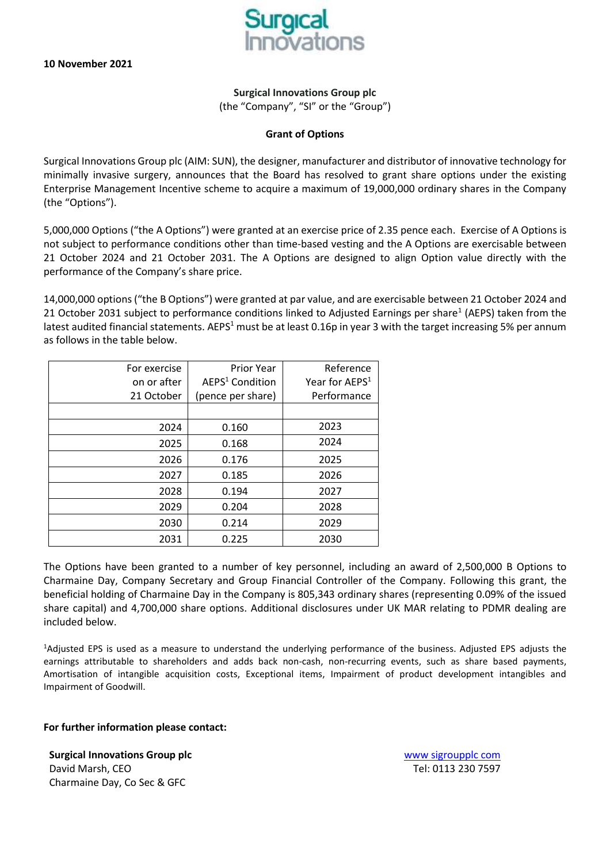

**Surgical Innovations Group plc** (the "Company", "SI" or the "Group")

## **Grant of Options**

Surgical Innovations Group plc (AIM: SUN), the designer, manufacturer and distributor of innovative technology for minimally invasive surgery, announces that the Board has resolved to grant share options under the existing Enterprise Management Incentive scheme to acquire a maximum of 19,000,000 ordinary shares in the Company (the "Options").

5,000,000 Options ("the A Options") were granted at an exercise price of 2.35 pence each. Exercise of A Options is not subject to performance conditions other than time-based vesting and the A Options are exercisable between 21 October 2024 and 21 October 2031. The A Options are designed to align Option value directly with the performance of the Company's share price.

14,000,000 options ("the B Options") were granted at par value, and are exercisable between 21 October 2024 and 21 October 2031 subject to performance conditions linked to Adjusted Earnings per share<sup>1</sup> (AEPS) taken from the latest audited financial statements. AEPS<sup>1</sup> must be at least 0.16p in year 3 with the target increasing 5% per annum as follows in the table below.

| For exercise | <b>Prior Year</b>           | Reference                  |
|--------------|-----------------------------|----------------------------|
| on or after  | AEPS <sup>1</sup> Condition | Year for AEPS <sup>1</sup> |
| 21 October   | (pence per share)           | Performance                |
|              |                             |                            |
| 2024         | 0.160                       | 2023                       |
| 2025         | 0.168                       | 2024                       |
| 2026         | 0.176                       | 2025                       |
| 2027         | 0.185                       | 2026                       |
| 2028         | 0.194                       | 2027                       |
| 2029         | 0.204                       | 2028                       |
| 2030         | 0.214                       | 2029                       |
| 2031         | 0.225                       | 2030                       |

The Options have been granted to a number of key personnel, including an award of 2,500,000 B Options to Charmaine Day, Company Secretary and Group Financial Controller of the Company. Following this grant, the beneficial holding of Charmaine Day in the Company is 805,343 ordinary shares (representing 0.09% of the issued share capital) and 4,700,000 share options. Additional disclosures under UK MAR relating to PDMR dealing are included below.

<sup>1</sup>Adjusted EPS is used as a measure to understand the underlying performance of the business. Adjusted EPS adjusts the earnings attributable to shareholders and adds back non-cash, non-recurring events, such as share based payments, Amortisation of intangible acquisition costs, Exceptional items, Impairment of product development intangibles and Impairment of Goodwill.

## **For further information please contact:**

**Surgical Innovations Group plc COVID-100 COVID-100 WWW SIGRALLY WWW SIGRALLY COVID-100 WWW SIGRALLY COVID-100 WWW SIGRALLY COM** David Marsh, CEO Tel: 0113 230 7597 Charmaine Day, Co Sec & GFC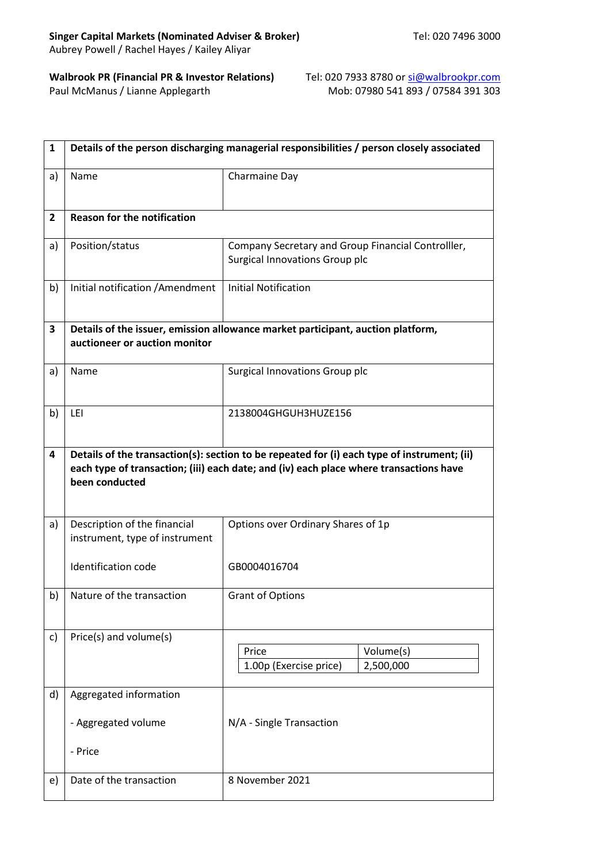Paul McManus / Lianne Applegarth

**Walbrook PR (Financial PR & Investor Relations) Tel: 020 7933 8780 or si@walbrookpr.com<br>Paul McManus / Lianne Applegarth Mob: 07980 541 893 / 07584 391 303** 

| 1            | Details of the person discharging managerial responsibilities / person closely associated                                                                                                               |                                                                                      |  |
|--------------|---------------------------------------------------------------------------------------------------------------------------------------------------------------------------------------------------------|--------------------------------------------------------------------------------------|--|
| a)           | Name                                                                                                                                                                                                    | Charmaine Day                                                                        |  |
| $\mathbf{2}$ | <b>Reason for the notification</b>                                                                                                                                                                      |                                                                                      |  |
| a)           | Position/status                                                                                                                                                                                         | Company Secretary and Group Financial Controlller,<br>Surgical Innovations Group plc |  |
| b)           | Initial notification / Amendment                                                                                                                                                                        | <b>Initial Notification</b>                                                          |  |
| 3            | auctioneer or auction monitor                                                                                                                                                                           | Details of the issuer, emission allowance market participant, auction platform,      |  |
| a)           | Name                                                                                                                                                                                                    | Surgical Innovations Group plc                                                       |  |
| b)           | LEI                                                                                                                                                                                                     | 2138004GHGUH3HUZE156                                                                 |  |
| 4            | Details of the transaction(s): section to be repeated for (i) each type of instrument; (ii)<br>each type of transaction; (iii) each date; and (iv) each place where transactions have<br>been conducted |                                                                                      |  |
| a)           | Description of the financial<br>instrument, type of instrument                                                                                                                                          | Options over Ordinary Shares of 1p                                                   |  |
|              | <b>Identification code</b>                                                                                                                                                                              | GB0004016704                                                                         |  |
|              | b) Nature of the transaction                                                                                                                                                                            | Grant of Options                                                                     |  |
| c)           | Price(s) and volume(s)                                                                                                                                                                                  | Price<br>Volume(s)<br>1.00p (Exercise price)<br>2,500,000                            |  |
| d)           | Aggregated information                                                                                                                                                                                  |                                                                                      |  |
|              | - Aggregated volume                                                                                                                                                                                     | N/A - Single Transaction                                                             |  |
|              | - Price                                                                                                                                                                                                 |                                                                                      |  |
| e)           | Date of the transaction                                                                                                                                                                                 | 8 November 2021                                                                      |  |